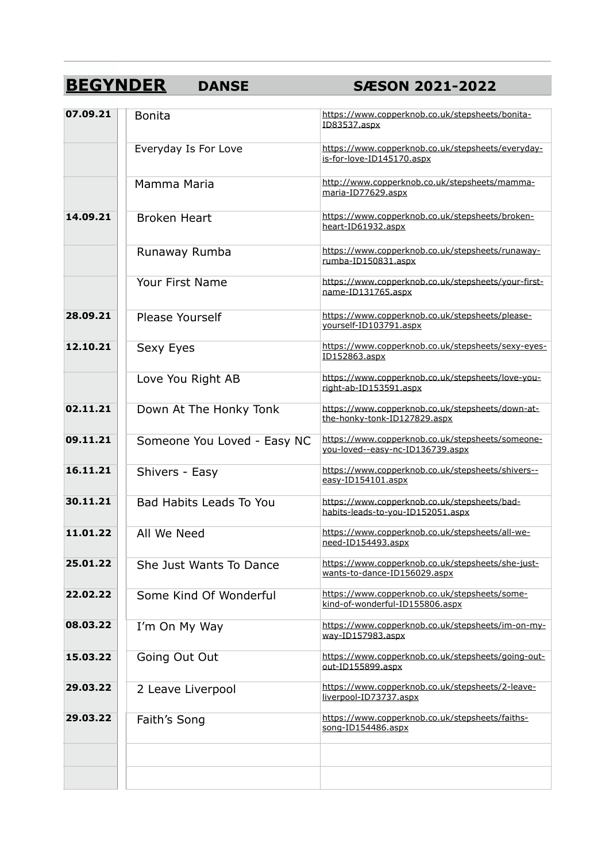# **BEGYNDER DANSE SÆSON 2021-2022**

| 07.09.21 | <b>Bonita</b>                  | https://www.copperknob.co.uk/stepsheets/bonita-<br>ID83537.aspx                      |
|----------|--------------------------------|--------------------------------------------------------------------------------------|
|          | Everyday Is For Love           | https://www.copperknob.co.uk/stepsheets/everyday-<br>is-for-love-ID145170.aspx       |
|          | Mamma Maria                    | http://www.copperknob.co.uk/stepsheets/mamma-<br>maria-ID77629.aspx                  |
| 14.09.21 | <b>Broken Heart</b>            | https://www.copperknob.co.uk/stepsheets/broken-<br>heart-ID61932.aspx                |
|          | Runaway Rumba                  | https://www.copperknob.co.uk/stepsheets/runaway-<br>rumba-ID150831.aspx              |
|          | Your First Name                | https://www.copperknob.co.uk/stepsheets/your-first-<br>name-ID131765.aspx            |
| 28.09.21 | Please Yourself                | https://www.copperknob.co.uk/stepsheets/please-<br>yourself-ID103791.aspx            |
| 12.10.21 | Sexy Eyes                      | https://www.copperknob.co.uk/stepsheets/sexy-eyes-<br>ID152863.aspx                  |
|          | Love You Right AB              | https://www.copperknob.co.uk/stepsheets/love-you-<br>right-ab-ID153591.aspx          |
| 02.11.21 | Down At The Honky Tonk         | https://www.copperknob.co.uk/stepsheets/down-at-<br>the-honky-tonk-ID127829.aspx     |
| 09.11.21 | Someone You Loved - Easy NC    | https://www.copperknob.co.uk/stepsheets/someone-<br>you-loved--easy-nc-ID136739.aspx |
| 16.11.21 | Shivers - Easy                 | https://www.copperknob.co.uk/stepsheets/shivers--<br>easy-ID154101.aspx              |
| 30.11.21 | <b>Bad Habits Leads To You</b> | https://www.copperknob.co.uk/stepsheets/bad-<br>habits-leads-to-you-ID152051.aspx    |
| 11.01.22 | All We Need                    | https://www.copperknob.co.uk/stepsheets/all-we-<br>need-ID154493.aspx                |
| 25.01.22 | She Just Wants To Dance        | https://www.copperknob.co.uk/stepsheets/she-just-<br>wants-to-dance-ID156029.aspx    |
| 22.02.22 | Some Kind Of Wonderful         | https://www.copperknob.co.uk/stepsheets/some-<br>kind-of-wonderful-ID155806.aspx     |
| 08.03.22 | I'm On My Way                  | https://www.copperknob.co.uk/stepsheets/im-on-my-<br>way-ID157983.aspx               |
| 15.03.22 | Going Out Out                  | https://www.copperknob.co.uk/stepsheets/going-out-<br>out-ID155899.aspx              |
| 29.03.22 | 2 Leave Liverpool              | https://www.copperknob.co.uk/stepsheets/2-leave-<br>liverpool-ID73737.aspx           |
| 29,03,22 | Faith's Song                   | https://www.copperknob.co.uk/stepsheets/faiths-<br>song-ID154486.aspx                |
|          |                                |                                                                                      |
|          |                                |                                                                                      |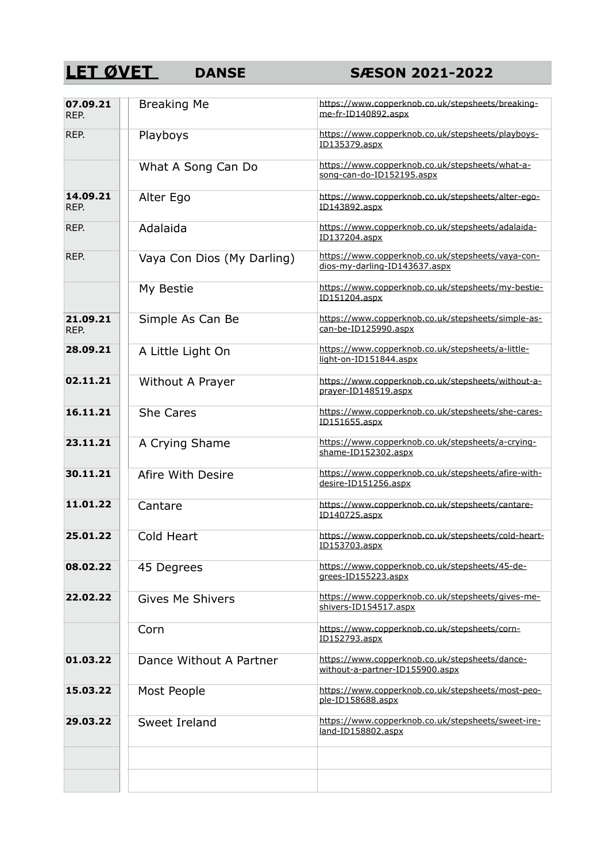### **LET ØVET** DANSE SÆSON 2021-2022

| 07.09.21<br>REP. | <b>Breaking Me</b>         | https://www.copperknob.co.uk/stepsheets/breaking-<br>me-fr-ID140892.aspx           |
|------------------|----------------------------|------------------------------------------------------------------------------------|
| REP.             | Playboys                   | https://www.copperknob.co.uk/stepsheets/playboys-<br>ID135379.aspx                 |
|                  | What A Song Can Do         | https://www.copperknob.co.uk/stepsheets/what-a-<br>song-can-do-ID152195.aspx       |
| 14.09.21<br>REP. | Alter Ego                  | https://www.copperknob.co.uk/stepsheets/alter-ego-<br>ID143892.aspx                |
| REP.             | Adalaida                   | https://www.copperknob.co.uk/stepsheets/adalaida-<br>ID137204.aspx                 |
| REP.             | Vaya Con Dios (My Darling) | https://www.copperknob.co.uk/stepsheets/vaya-con-<br>dios-my-darling-ID143637.aspx |
|                  | My Bestie                  | https://www.copperknob.co.uk/stepsheets/my-bestie-<br>ID151204.aspx                |
| 21.09.21<br>REP. | Simple As Can Be           | https://www.copperknob.co.uk/stepsheets/simple-as-<br>can-be-ID125990.aspx         |
| 28.09.21         | A Little Light On          | https://www.copperknob.co.uk/stepsheets/a-little-<br>light-on-ID151844.aspx        |
| 02.11.21         | Without A Prayer           | https://www.copperknob.co.uk/stepsheets/without-a-<br>prayer-ID148519.aspx         |
| 16.11.21         | <b>She Cares</b>           | https://www.copperknob.co.uk/stepsheets/she-cares-<br>ID151655.aspx                |
| 23.11.21         | A Crying Shame             | https://www.copperknob.co.uk/stepsheets/a-crying-<br>shame-ID152302.aspx           |
| 30.11.21         | Afire With Desire          | https://www.copperknob.co.uk/stepsheets/afire-with-<br>desire-ID151256.aspx        |
| 11.01.22         | Cantare                    | https://www.copperknob.co.uk/stepsheets/cantare-<br>ID140725.aspx                  |
| 25.01.22         | Cold Heart                 | https://www.copperknob.co.uk/stepsheets/cold-heart-<br>ID153703.aspx               |
| 08.02.22         | 45 Degrees                 | https://www.copperknob.co.uk/stepsheets/45-de-<br>grees-ID155223.aspx              |
| 22.02.22         | <b>Gives Me Shivers</b>    | https://www.copperknob.co.uk/stepsheets/gives-me-<br>shivers-ID154517.aspx         |
|                  | Corn                       | https://www.copperknob.co.uk/stepsheets/corn-<br>ID152793.aspx                     |
| 01.03.22         | Dance Without A Partner    | https://www.copperknob.co.uk/stepsheets/dance-<br>without-a-partner-ID155900.aspx  |
| 15.03.22         | Most People                | https://www.copperknob.co.uk/stepsheets/most-peo-<br>ple-ID158688.aspx             |
| 29.03.22         | Sweet Ireland              | https://www.copperknob.co.uk/stepsheets/sweet-ire-<br>land-ID158802.aspx           |
|                  |                            |                                                                                    |
|                  |                            |                                                                                    |